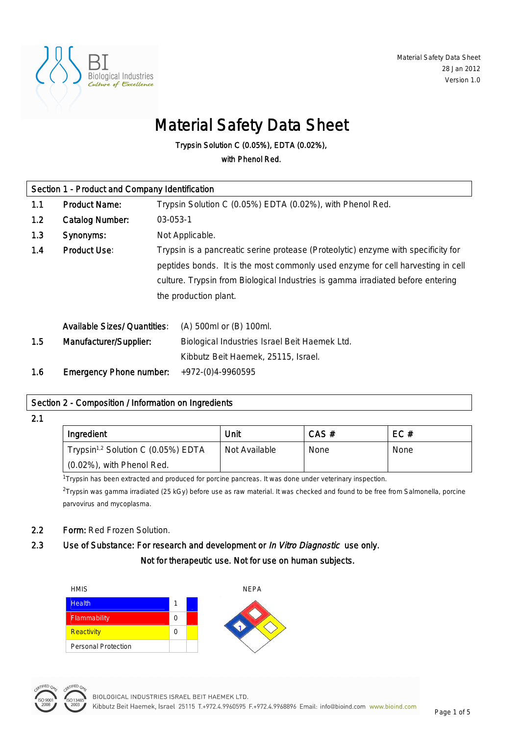

# Material Safety Data Sheet

Trypsin Solution C (0.05%), EDTA (0.02%),

with Phenol Red.

| Section 1 - Product and Company Identification |                                     |                                                                                 |                                                                                   |  |
|------------------------------------------------|-------------------------------------|---------------------------------------------------------------------------------|-----------------------------------------------------------------------------------|--|
| 1.1                                            | <b>Product Name:</b>                | Trypsin Solution C (0.05%) EDTA (0.02%), with Phenol Red.                       |                                                                                   |  |
| 1.2                                            | <b>Catalog Number:</b>              |                                                                                 | 03-053-1                                                                          |  |
| 1.3                                            | Synonyms:                           |                                                                                 | Not Applicable.                                                                   |  |
| 1.4                                            | <b>Product Use:</b>                 |                                                                                 | Trypsin is a pancreatic serine protease (Proteolytic) enzyme with specificity for |  |
|                                                |                                     | peptides bonds. It is the most commonly used enzyme for cell harvesting in cell |                                                                                   |  |
|                                                |                                     | culture. Trypsin from Biological Industries is gamma irradiated before entering |                                                                                   |  |
|                                                |                                     | the production plant.                                                           |                                                                                   |  |
|                                                |                                     |                                                                                 |                                                                                   |  |
|                                                | <b>Available Sizes/ Quantities:</b> |                                                                                 | (A) 500ml or (B) 100ml.                                                           |  |
| 1.5                                            | Manufacturer/Supplier:              |                                                                                 | Biological Industries Israel Beit Haemek Ltd.                                     |  |
|                                                |                                     |                                                                                 | Kibbutz Beit Haemek, 25115, Israel.                                               |  |
| 1.6                                            | <b>Emergency Phone number:</b>      |                                                                                 | +972-(0)4-9960595                                                                 |  |

### Section 2 - Composition / Information on Ingredients

2.1

| Ingredient                                     | Unit          | $CAS \#$ | EC#         |
|------------------------------------------------|---------------|----------|-------------|
| Trypsin <sup>1,2</sup> Solution C (0.05%) EDTA | Not Available | None     | <b>None</b> |
| $(0.02\%)$ , with Phenol Red.                  |               |          |             |

<sup>1</sup>Trypsin has been extracted and produced for porcine pancreas. It was done under veterinary inspection.

<sup>2</sup>Trypsin was gamma irradiated (25 kGy) before use as raw material. It was checked and found to be free from Salmonella, porcine parvovirus and mycoplasma.

### 2.2 Form: Red Frozen Solution.

# 2.3 Use of Substance: For research and development or In Vitro Diagnostic use only. Not for therapeutic use. Not for use on human subjects.



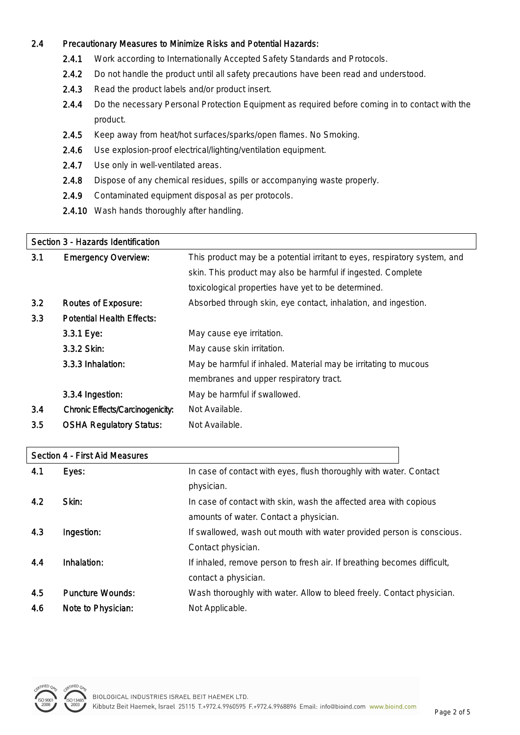### 2.4 Precautionary Measures to Minimize Risks and Potential Hazards:

- 2.4.1 Work according to Internationally Accepted Safety Standards and Protocols.
- 2.4.2 Do not handle the product until all safety precautions have been read and understood.
- 2.4.3 Read the product labels and/or product insert.
- 2.4.4 Do the necessary Personal Protection Equipment as required before coming in to contact with the product.
- 2.4.5 Keep away from heat/hot surfaces/sparks/open flames. No Smoking.
- 2.4.6 Use explosion-proof electrical/lighting/ventilation equipment.
- 2.4.7 Use only in well-ventilated areas.
- 2.4.8 Dispose of any chemical residues, spills or accompanying waste properly.
- 2.4.9 Contaminated equipment disposal as per protocols.
- 2.4.10 Wash hands thoroughly after handling.

#### Section 3 - Hazards Identification

|     | <u>Jechon J - Hazarus Iuchinication</u> |                                                                           |
|-----|-----------------------------------------|---------------------------------------------------------------------------|
| 3.1 | <b>Emergency Overview:</b>              | This product may be a potential irritant to eyes, respiratory system, and |
|     |                                         | skin. This product may also be harmful if ingested. Complete              |
|     |                                         | toxicological properties have yet to be determined.                       |
| 3.2 | <b>Routes of Exposure:</b>              | Absorbed through skin, eye contact, inhalation, and ingestion.            |
| 3.3 | <b>Potential Health Effects:</b>        |                                                                           |
|     | 3.3.1 Eye:                              | May cause eye irritation.                                                 |
|     | 3.3.2 Skin:                             | May cause skin irritation.                                                |
|     | 3.3.3 Inhalation:                       | May be harmful if inhaled. Material may be irritating to mucous           |
|     |                                         | membranes and upper respiratory tract.                                    |
|     | 3.3.4 Ingestion:                        | May be harmful if swallowed.                                              |
| 3.4 | <b>Chronic Effects/Carcinogenicity:</b> | Not Available.                                                            |
| 3.5 | <b>OSHA Regulatory Status:</b>          | Not Available.                                                            |
|     |                                         |                                                                           |

# Section 4 - First Aid Measures **4.1** Eyes: **In case of contact with eyes, flush thoroughly with water. Contact view** physician. **4.2** Skin: In case of contact with skin, wash the affected area with copious amounts of water. Contact a physician. 4.3 Ingestion: If swallowed, wash out mouth with water provided person is conscious. Contact physician. 4.4 Inhalation: If inhaled, remove person to fresh air. If breathing becomes difficult, contact a physician. 4.5 Puncture Wounds: Wash thoroughly with water. Allow to bleed freely. Contact physician. 4.6 Note to Physician: Not Applicable.

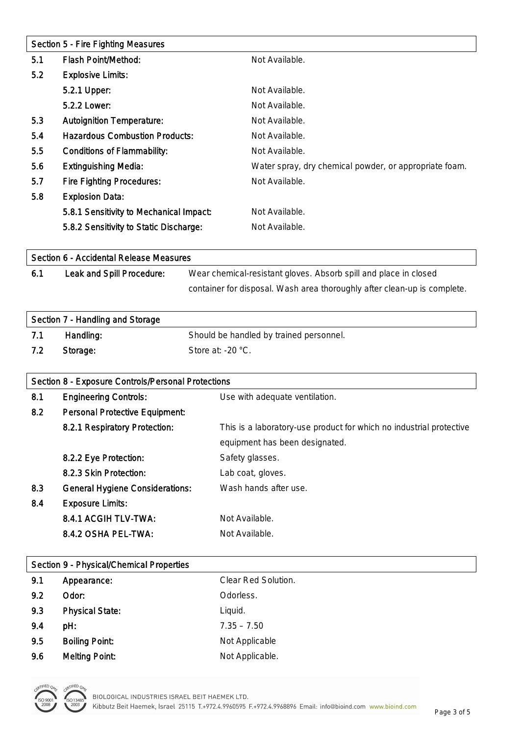| Section 5 - Fire Fighting Measures |                                         |                                                        |
|------------------------------------|-----------------------------------------|--------------------------------------------------------|
| 5.1                                | <b>Flash Point/Method:</b>              | Not Available.                                         |
| 5.2                                | <b>Explosive Limits:</b>                |                                                        |
|                                    | 5.2.1 Upper:                            | Not Available.                                         |
|                                    | 5.2.2 Lower:                            | Not Available.                                         |
| 5.3                                | <b>Autoignition Temperature:</b>        | Not Available.                                         |
| 5.4                                | <b>Hazardous Combustion Products:</b>   | Not Available.                                         |
| 5.5                                | <b>Conditions of Flammability:</b>      | Not Available.                                         |
| 5.6                                | <b>Extinguishing Media:</b>             | Water spray, dry chemical powder, or appropriate foam. |
| 5.7                                | <b>Fire Fighting Procedures:</b>        | Not Available.                                         |
| 5.8                                | <b>Explosion Data:</b>                  |                                                        |
|                                    | 5.8.1 Sensitivity to Mechanical Impact: | Not Available.                                         |
|                                    | 5.8.2 Sensitivity to Static Discharge:  | Not Available.                                         |

| Section 6 - Accidental Release Measures |                           |                                                                          |
|-----------------------------------------|---------------------------|--------------------------------------------------------------------------|
| 6.1                                     | Leak and Spill Procedure: | Wear chemical-resistant gloves. Absorb spill and place in closed         |
|                                         |                           | container for disposal. Wash area thoroughly after clean-up is complete. |

| Section 7 - Handling and Storage |           |                                         |
|----------------------------------|-----------|-----------------------------------------|
| 7.1                              | Handling: | Should be handled by trained personnel. |
| 7.2                              | Storage:  | Store at: $-20$ °C.                     |

| Section 8 - Exposure Controls/Personal Protections |                                        |                                                                     |
|----------------------------------------------------|----------------------------------------|---------------------------------------------------------------------|
| 8.1                                                | <b>Engineering Controls:</b>           | Use with adequate ventilation.                                      |
| 8.2                                                | <b>Personal Protective Equipment:</b>  |                                                                     |
|                                                    | 8.2.1 Respiratory Protection:          | This is a laboratory-use product for which no industrial protective |
|                                                    |                                        | equipment has been designated.                                      |
|                                                    | 8.2.2 Eye Protection:                  | Safety glasses.                                                     |
|                                                    | 8.2.3 Skin Protection:                 | Lab coat, gloves.                                                   |
| 8.3                                                | <b>General Hygiene Considerations:</b> | Wash hands after use.                                               |
| 8.4                                                | <b>Exposure Limits:</b>                |                                                                     |
|                                                    | 8.4.1 ACGIH TLV-TWA:                   | Not Available.                                                      |
|                                                    | 8.4.2 OSHA PEL-TWA:                    | Not Available.                                                      |

|     | <b>Section 9 - Physical/Chemical Properties</b> |                     |  |
|-----|-------------------------------------------------|---------------------|--|
| 9.1 | Appearance:                                     | Clear Red Solution. |  |
| 9.2 | Odor:                                           | Odorless.           |  |
| 9.3 | <b>Physical State:</b>                          | Liquid.             |  |
| 9.4 | pH:                                             | $7.35 - 7.50$       |  |
| 9.5 | <b>Boiling Point:</b>                           | Not Applicable      |  |
| 9.6 | <b>Melting Point:</b>                           | Not Applicable.     |  |
|     |                                                 |                     |  |

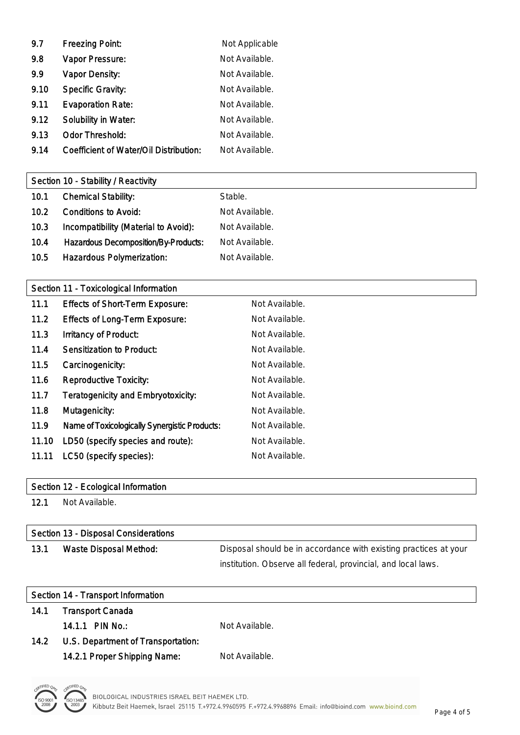| 9.7  | <b>Freezing Point:</b>                 | Not Applicable |
|------|----------------------------------------|----------------|
| 9.8  | Vapor Pressure:                        | Not Available. |
| 9.9  | <b>Vapor Density:</b>                  | Not Available. |
| 9.10 | <b>Specific Gravity:</b>               | Not Available. |
| 9.11 | <b>Evaporation Rate:</b>               | Not Available. |
| 9.12 | <b>Solubility in Water:</b>            | Not Available. |
| 9.13 | <b>Odor Threshold:</b>                 | Not Available. |
| 9.14 | Coefficient of Water/Oil Distribution: | Not Available. |

# Section 10 - Stability / Reactivity

| 10.1 | <b>Chemical Stability:</b>                  | Stable.        |
|------|---------------------------------------------|----------------|
| 10.2 | <b>Conditions to Avoid:</b>                 | Not Available. |
| 10.3 | Incompatibility (Material to Avoid):        | Not Available. |
| 10.4 | <b>Hazardous Decomposition/By-Products:</b> | Not Available. |
| 10.5 | Hazardous Polymerization:                   | Not Available. |

### Section 11 - Toxicological Information

| 11.1  | <b>Effects of Short-Term Exposure:</b>        | Not Available. |
|-------|-----------------------------------------------|----------------|
| 11.2  | <b>Effects of Long-Term Exposure:</b>         | Not Available. |
| 11.3  | <b>Irritancy of Product:</b>                  | Not Available. |
| 11.4  | <b>Sensitization to Product:</b>              | Not Available. |
| 11.5  | Carcinogenicity:                              | Not Available. |
| 11.6  | <b>Reproductive Toxicity:</b>                 | Not Available. |
| 11.7  | <b>Teratogenicity and Embryotoxicity:</b>     | Not Available. |
| 11.8  | Mutagenicity:                                 | Not Available. |
| 11.9  | Name of Toxicologically Synergistic Products: | Not Available. |
| 11.10 | LD50 (specify species and route):             | Not Available. |
| 11.11 | LC50 (specify species):                       | Not Available. |

### Section 12 - Ecological Information

12.1 Not Available.

| Section 13 - Disposal Considerations |                               |                                                                  |
|--------------------------------------|-------------------------------|------------------------------------------------------------------|
| 13.1                                 | <b>Waste Disposal Method:</b> | Disposal should be in accordance with existing practices at your |
|                                      |                               | institution. Observe all federal, provincial, and local laws.    |

| Section 14 - Transport Information |                                    |                |
|------------------------------------|------------------------------------|----------------|
| 14.1                               | <b>Transport Canada</b>            |                |
|                                    | 14.1.1 PIN No.:                    | Not Available. |
| 14.2                               | U.S. Department of Transportation: |                |
|                                    | 14.2.1 Proper Shipping Name:       | Not Available. |